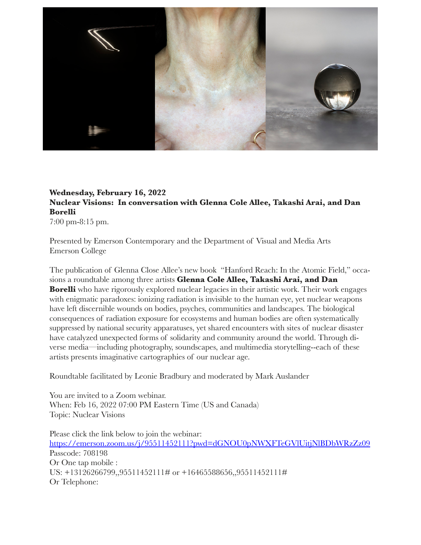

## **Wednesday, February 16, 2022 Nuclear Visions: In conversation with Glenna Cole Allee, Takashi Arai, and Dan Borelli**

7:00 pm-8:15 pm.

Presented by Emerson Contemporary and the Department of Visual and Media Arts Emerson College

The publication of Glenna Close Allee's new book "Hanford Reach: In the Atomic Field," occasions a roundtable among three artists **Glenna Cole Allee, Takashi Arai, and Dan Borelli** who have rigorously explored nuclear legacies in their artistic work. Their work engages with enigmatic paradoxes: ionizing radiation is invisible to the human eye, yet nuclear weapons have left discernible wounds on bodies, psyches, communities and landscapes. The biological consequences of radiation exposure for ecosystems and human bodies are often systematically suppressed by national security apparatuses, yet shared encounters with sites of nuclear disaster have catalyzed unexpected forms of solidarity and community around the world. Through diverse media—including photography, soundscapes, and multimedia storytelling--each of these artists presents imaginative cartographies of our nuclear age.

Roundtable facilitated by Leonie Bradbury and moderated by Mark Auslander

You are invited to a Zoom webinar. When: Feb 16, 2022 07:00 PM Eastern Time (US and Canada) Topic: Nuclear Visions

Please click the link below to join the webinar: <https://emerson.zoom.us/j/95511452111?pwd=dGNOU0pNWXFTeGVlUitjNlBDbWRzZz09> Passcode: 708198 Or One tap mobile : US: +13126266799,,95511452111# or +16465588656,,95511452111# Or Telephone: